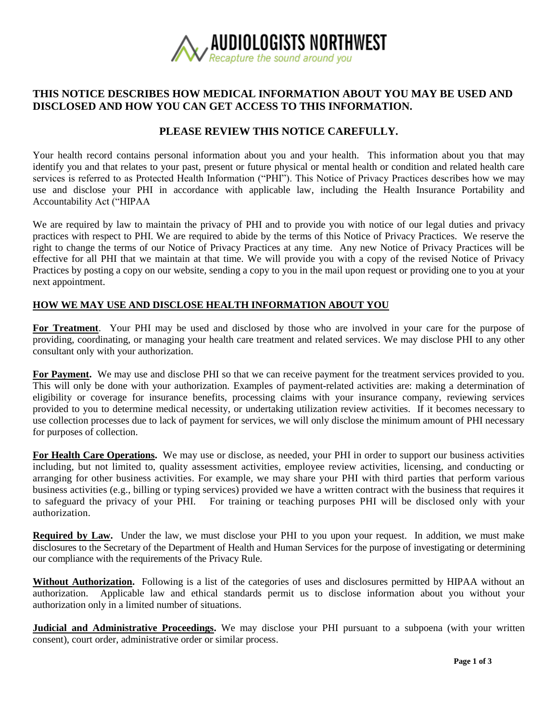

# **THIS NOTICE DESCRIBES HOW MEDICAL INFORMATION ABOUT YOU MAY BE USED AND DISCLOSED AND HOW YOU CAN GET ACCESS TO THIS INFORMATION.**

## **PLEASE REVIEW THIS NOTICE CAREFULLY.**

Your health record contains personal information about you and your health. This information about you that may identify you and that relates to your past, present or future physical or mental health or condition and related health care services is referred to as Protected Health Information ("PHI"). This Notice of Privacy Practices describes how we may use and disclose your PHI in accordance with applicable law, including the Health Insurance Portability and Accountability Act ("HIPAA

We are required by law to maintain the privacy of PHI and to provide you with notice of our legal duties and privacy practices with respect to PHI. We are required to abide by the terms of this Notice of Privacy Practices. We reserve the right to change the terms of our Notice of Privacy Practices at any time. Any new Notice of Privacy Practices will be effective for all PHI that we maintain at that time. We will provide you with a copy of the revised Notice of Privacy Practices by posting a copy on our website, sending a copy to you in the mail upon request or providing one to you at your next appointment.

#### **HOW WE MAY USE AND DISCLOSE HEALTH INFORMATION ABOUT YOU**

**For Treatment**.Your PHI may be used and disclosed by those who are involved in your care for the purpose of providing, coordinating, or managing your health care treatment and related services. We may disclose PHI to any other consultant only with your authorization.

**For Payment.** We may use and disclose PHI so that we can receive payment for the treatment services provided to you. This will only be done with your authorization. Examples of payment-related activities are: making a determination of eligibility or coverage for insurance benefits, processing claims with your insurance company, reviewing services provided to you to determine medical necessity, or undertaking utilization review activities. If it becomes necessary to use collection processes due to lack of payment for services, we will only disclose the minimum amount of PHI necessary for purposes of collection.

**For Health Care Operations.** We may use or disclose, as needed, your PHI in order to support our business activities including, but not limited to, quality assessment activities, employee review activities, licensing, and conducting or arranging for other business activities. For example, we may share your PHI with third parties that perform various business activities (e.g., billing or typing services) provided we have a written contract with the business that requires it to safeguard the privacy of your PHI. For training or teaching purposes PHI will be disclosed only with your authorization.

**Required by Law.** Under the law, we must disclose your PHI to you upon your request. In addition, we must make disclosures to the Secretary of the Department of Health and Human Services for the purpose of investigating or determining our compliance with the requirements of the Privacy Rule.

**Without Authorization.** Following is a list of the categories of uses and disclosures permitted by HIPAA without an authorization. Applicable law and ethical standards permit us to disclose information about you without your authorization only in a limited number of situations.

**Judicial and Administrative Proceedings.** We may disclose your PHI pursuant to a subpoena (with your written consent), court order, administrative order or similar process.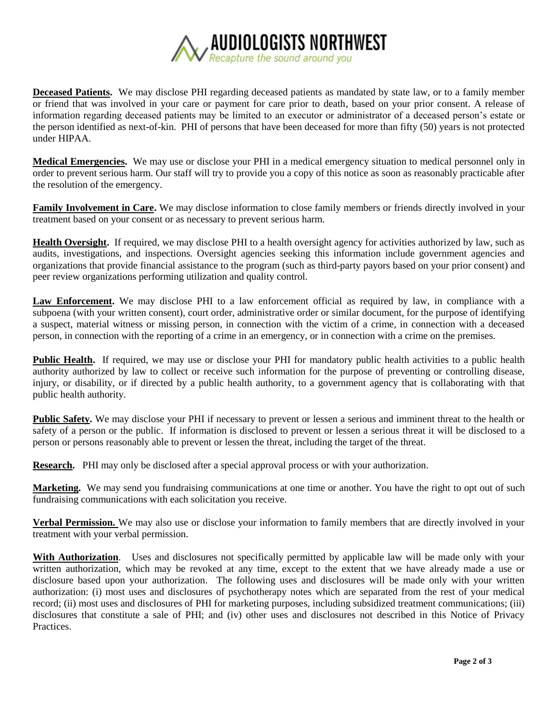

**Deceased Patients.** We may disclose PHI regarding deceased patients as mandated by state law, or to a family member or friend that was involved in your care or payment for care prior to death, based on your prior consent. A release of information regarding deceased patients may be limited to an executor or administrator of a deceased person's estate or the person identified as next-of-kin. PHI of persons that have been deceased for more than fifty (50) years is not protected under HIPAA.

**Medical Emergencies.** We may use or disclose your PHI in a medical emergency situation to medical personnel only in order to prevent serious harm. Our staff will try to provide you a copy of this notice as soon as reasonably practicable after the resolution of the emergency.

**Family Involvement in Care.** We may disclose information to close family members or friends directly involved in your treatment based on your consent or as necessary to prevent serious harm.

**Health Oversight.** If required, we may disclose PHI to a health oversight agency for activities authorized by law, such as audits, investigations, and inspections. Oversight agencies seeking this information include government agencies and organizations that provide financial assistance to the program (such as third-party payors based on your prior consent) and peer review organizations performing utilization and quality control.

**Law Enforcement.** We may disclose PHI to a law enforcement official as required by law, in compliance with a subpoena (with your written consent), court order, administrative order or similar document, for the purpose of identifying a suspect, material witness or missing person, in connection with the victim of a crime, in connection with a deceased person, in connection with the reporting of a crime in an emergency, or in connection with a crime on the premises.

**Public Health.** If required, we may use or disclose your PHI for mandatory public health activities to a public health authority authorized by law to collect or receive such information for the purpose of preventing or controlling disease, injury, or disability, or if directed by a public health authority, to a government agency that is collaborating with that public health authority.

**Public Safety.** We may disclose your PHI if necessary to prevent or lessen a serious and imminent threat to the health or safety of a person or the public. If information is disclosed to prevent or lessen a serious threat it will be disclosed to a person or persons reasonably able to prevent or lessen the threat, including the target of the threat.

**Research.** PHI may only be disclosed after a special approval process or with your authorization.

**Marketing.** We may send you fundraising communications at one time or another. You have the right to opt out of such fundraising communications with each solicitation you receive.

**Verbal Permission.** We may also use or disclose your information to family members that are directly involved in your treatment with your verbal permission.

**With Authorization**. Uses and disclosures not specifically permitted by applicable law will be made only with your written authorization, which may be revoked at any time, except to the extent that we have already made a use or disclosure based upon your authorization. The following uses and disclosures will be made only with your written authorization: (i) most uses and disclosures of psychotherapy notes which are separated from the rest of your medical record; (ii) most uses and disclosures of PHI for marketing purposes, including subsidized treatment communications; (iii) disclosures that constitute a sale of PHI; and (iv) other uses and disclosures not described in this Notice of Privacy Practices.